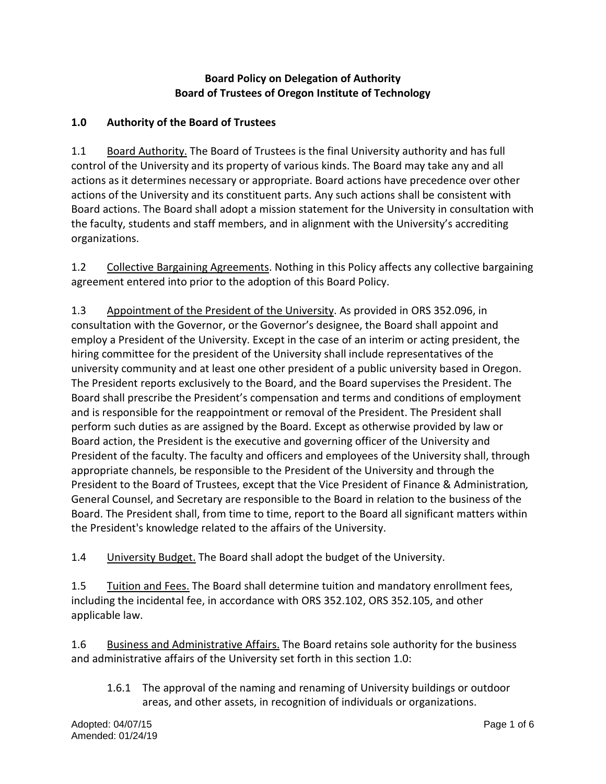## **Board Policy on Delegation of Authority Board of Trustees of Oregon Institute of Technology**

## **1.0 Authority of the Board of Trustees**

1.1 Board Authority. The Board of Trustees is the final University authority and has full control of the University and its property of various kinds. The Board may take any and all actions as it determines necessary or appropriate. Board actions have precedence over other actions of the University and its constituent parts. Any such actions shall be consistent with Board actions. The Board shall adopt a mission statement for the University in consultation with the faculty, students and staff members, and in alignment with the University's accrediting organizations.

1.2 Collective Bargaining Agreements. Nothing in this Policy affects any collective bargaining agreement entered into prior to the adoption of this Board Policy.

1.3 Appointment of the President of the University. As provided in ORS 352.096, in consultation with the Governor, or the Governor's designee, the Board shall appoint and employ a President of the University. Except in the case of an interim or acting president, the hiring committee for the president of the University shall include representatives of the university community and at least one other president of a public university based in Oregon. The President reports exclusively to the Board, and the Board supervises the President. The Board shall prescribe the President's compensation and terms and conditions of employment and is responsible for the reappointment or removal of the President. The President shall perform such duties as are assigned by the Board. Except as otherwise provided by law or Board action, the President is the executive and governing officer of the University and President of the faculty. The faculty and officers and employees of the University shall, through appropriate channels, be responsible to the President of the University and through the President to the Board of Trustees, except that the Vice President of Finance & Administration*,* General Counsel, and Secretary are responsible to the Board in relation to the business of the Board. The President shall, from time to time, report to the Board all significant matters within the President's knowledge related to the affairs of the University.

1.4 University Budget. The Board shall adopt the budget of the University.

1.5 Tuition and Fees. The Board shall determine tuition and mandatory enrollment fees, including the incidental fee, in accordance with ORS 352.102, ORS 352.105, and other applicable law.

1.6 Business and Administrative Affairs. The Board retains sole authority for the business and administrative affairs of the University set forth in this section 1.0:

1.6.1 The approval of the naming and renaming of University buildings or outdoor areas, and other assets, in recognition of individuals or organizations.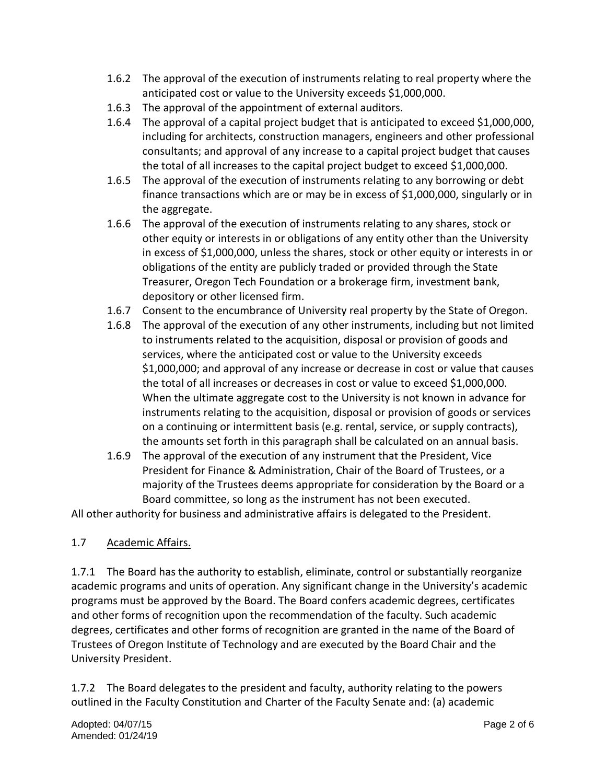- 1.6.2 The approval of the execution of instruments relating to real property where the anticipated cost or value to the University exceeds \$1,000,000.
- 1.6.3 The approval of the appointment of external auditors.
- 1.6.4 The approval of a capital project budget that is anticipated to exceed \$1,000,000, including for architects, construction managers, engineers and other professional consultants; and approval of any increase to a capital project budget that causes the total of all increases to the capital project budget to exceed \$1,000,000.
- 1.6.5 The approval of the execution of instruments relating to any borrowing or debt finance transactions which are or may be in excess of \$1,000,000, singularly or in the aggregate.
- 1.6.6 The approval of the execution of instruments relating to any shares, stock or other equity or interests in or obligations of any entity other than the University in excess of \$1,000,000, unless the shares, stock or other equity or interests in or obligations of the entity are publicly traded or provided through the State Treasurer, Oregon Tech Foundation or a brokerage firm, investment bank, depository or other licensed firm.
- 1.6.7 Consent to the encumbrance of University real property by the State of Oregon.
- 1.6.8 The approval of the execution of any other instruments, including but not limited to instruments related to the acquisition, disposal or provision of goods and services, where the anticipated cost or value to the University exceeds \$1,000,000; and approval of any increase or decrease in cost or value that causes the total of all increases or decreases in cost or value to exceed \$1,000,000. When the ultimate aggregate cost to the University is not known in advance for instruments relating to the acquisition, disposal or provision of goods or services on a continuing or intermittent basis (e.g. rental, service, or supply contracts), the amounts set forth in this paragraph shall be calculated on an annual basis.
- 1.6.9 The approval of the execution of any instrument that the President, Vice President for Finance & Administration, Chair of the Board of Trustees, or a majority of the Trustees deems appropriate for consideration by the Board or a Board committee, so long as the instrument has not been executed.

All other authority for business and administrative affairs is delegated to the President.

## 1.7 Academic Affairs.

1.7.1 The Board has the authority to establish, eliminate, control or substantially reorganize academic programs and units of operation. Any significant change in the University's academic programs must be approved by the Board. The Board confers academic degrees, certificates and other forms of recognition upon the recommendation of the faculty. Such academic degrees, certificates and other forms of recognition are granted in the name of the Board of Trustees of Oregon Institute of Technology and are executed by the Board Chair and the University President.

1.7.2 The Board delegates to the president and faculty, authority relating to the powers outlined in the Faculty Constitution and Charter of the Faculty Senate and: (a) academic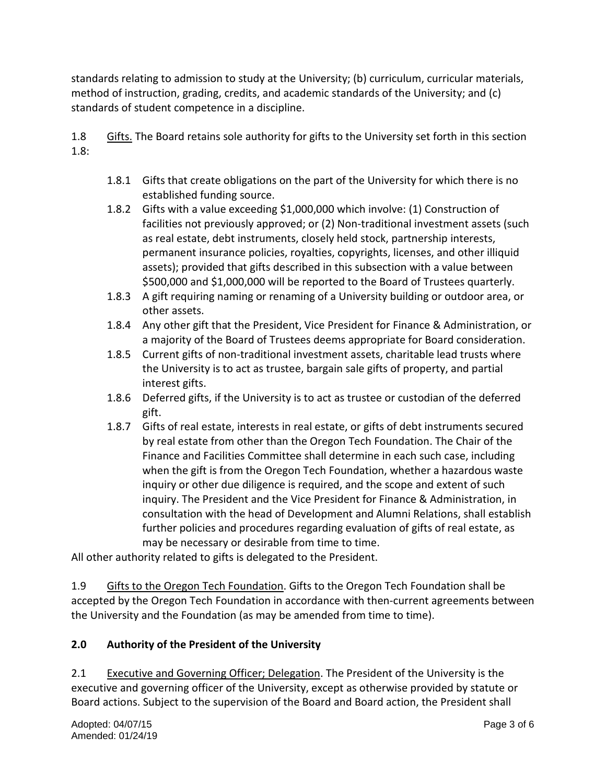standards relating to admission to study at the University; (b) curriculum, curricular materials, method of instruction, grading, credits, and academic standards of the University; and (c) standards of student competence in a discipline.

1.8 Gifts. The Board retains sole authority for gifts to the University set forth in this section 1.8:

- 1.8.1 Gifts that create obligations on the part of the University for which there is no established funding source.
- 1.8.2 Gifts with a value exceeding \$1,000,000 which involve: (1) Construction of facilities not previously approved; or (2) Non-traditional investment assets (such as real estate, debt instruments, closely held stock, partnership interests, permanent insurance policies, royalties, copyrights, licenses, and other illiquid assets); provided that gifts described in this subsection with a value between \$500,000 and \$1,000,000 will be reported to the Board of Trustees quarterly.
- 1.8.3 A gift requiring naming or renaming of a University building or outdoor area, or other assets.
- 1.8.4 Any other gift that the President, Vice President for Finance & Administration, or a majority of the Board of Trustees deems appropriate for Board consideration.
- 1.8.5 Current gifts of non-traditional investment assets, charitable lead trusts where the University is to act as trustee, bargain sale gifts of property, and partial interest gifts.
- 1.8.6 Deferred gifts, if the University is to act as trustee or custodian of the deferred gift.
- 1.8.7 Gifts of real estate, interests in real estate, or gifts of debt instruments secured by real estate from other than the Oregon Tech Foundation. The Chair of the Finance and Facilities Committee shall determine in each such case, including when the gift is from the Oregon Tech Foundation, whether a hazardous waste inquiry or other due diligence is required, and the scope and extent of such inquiry. The President and the Vice President for Finance & Administration, in consultation with the head of Development and Alumni Relations, shall establish further policies and procedures regarding evaluation of gifts of real estate, as may be necessary or desirable from time to time.

All other authority related to gifts is delegated to the President.

1.9 Gifts to the Oregon Tech Foundation. Gifts to the Oregon Tech Foundation shall be accepted by the Oregon Tech Foundation in accordance with then-current agreements between the University and the Foundation (as may be amended from time to time).

# **2.0 Authority of the President of the University**

2.1 Executive and Governing Officer; Delegation. The President of the University is the executive and governing officer of the University, except as otherwise provided by statute or Board actions. Subject to the supervision of the Board and Board action, the President shall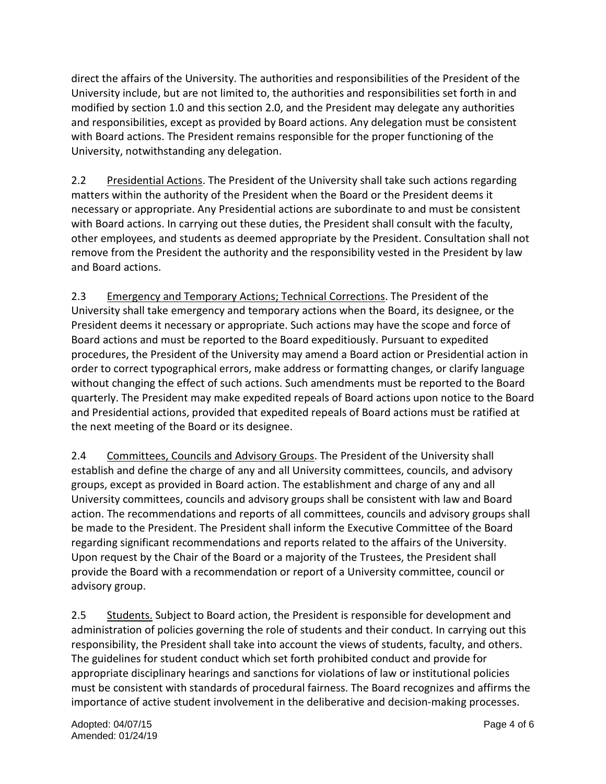direct the affairs of the University. The authorities and responsibilities of the President of the University include, but are not limited to, the authorities and responsibilities set forth in and modified by section 1.0 and this section 2.0, and the President may delegate any authorities and responsibilities, except as provided by Board actions. Any delegation must be consistent with Board actions. The President remains responsible for the proper functioning of the University, notwithstanding any delegation.

2.2 Presidential Actions. The President of the University shall take such actions regarding matters within the authority of the President when the Board or the President deems it necessary or appropriate. Any Presidential actions are subordinate to and must be consistent with Board actions. In carrying out these duties, the President shall consult with the faculty, other employees, and students as deemed appropriate by the President. Consultation shall not remove from the President the authority and the responsibility vested in the President by law and Board actions.

2.3 Emergency and Temporary Actions; Technical Corrections. The President of the University shall take emergency and temporary actions when the Board, its designee, or the President deems it necessary or appropriate. Such actions may have the scope and force of Board actions and must be reported to the Board expeditiously. Pursuant to expedited procedures, the President of the University may amend a Board action or Presidential action in order to correct typographical errors, make address or formatting changes, or clarify language without changing the effect of such actions. Such amendments must be reported to the Board quarterly. The President may make expedited repeals of Board actions upon notice to the Board and Presidential actions, provided that expedited repeals of Board actions must be ratified at the next meeting of the Board or its designee.

2.4 Committees, Councils and Advisory Groups. The President of the University shall establish and define the charge of any and all University committees, councils, and advisory groups, except as provided in Board action. The establishment and charge of any and all University committees, councils and advisory groups shall be consistent with law and Board action. The recommendations and reports of all committees, councils and advisory groups shall be made to the President. The President shall inform the Executive Committee of the Board regarding significant recommendations and reports related to the affairs of the University. Upon request by the Chair of the Board or a majority of the Trustees, the President shall provide the Board with a recommendation or report of a University committee, council or advisory group.

2.5 Students. Subject to Board action, the President is responsible for development and administration of policies governing the role of students and their conduct. In carrying out this responsibility, the President shall take into account the views of students, faculty, and others. The guidelines for student conduct which set forth prohibited conduct and provide for appropriate disciplinary hearings and sanctions for violations of law or institutional policies must be consistent with standards of procedural fairness. The Board recognizes and affirms the importance of active student involvement in the deliberative and decision-making processes.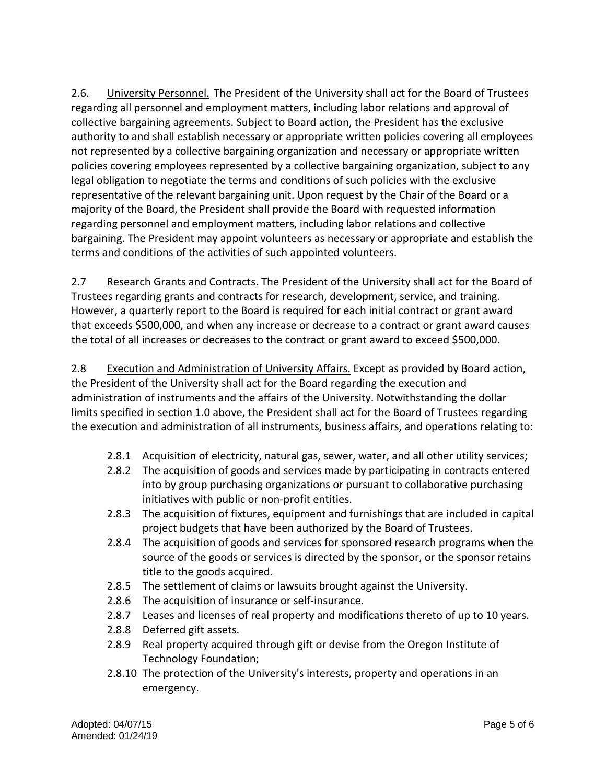2.6. University Personnel. The President of the University shall act for the Board of Trustees regarding all personnel and employment matters, including labor relations and approval of collective bargaining agreements. Subject to Board action, the President has the exclusive authority to and shall establish necessary or appropriate written policies covering all employees not represented by a collective bargaining organization and necessary or appropriate written policies covering employees represented by a collective bargaining organization, subject to any legal obligation to negotiate the terms and conditions of such policies with the exclusive representative of the relevant bargaining unit. Upon request by the Chair of the Board or a majority of the Board, the President shall provide the Board with requested information regarding personnel and employment matters, including labor relations and collective bargaining. The President may appoint volunteers as necessary or appropriate and establish the terms and conditions of the activities of such appointed volunteers.

2.7 Research Grants and Contracts. The President of the University shall act for the Board of Trustees regarding grants and contracts for research, development, service, and training. However, a quarterly report to the Board is required for each initial contract or grant award that exceeds \$500,000, and when any increase or decrease to a contract or grant award causes the total of all increases or decreases to the contract or grant award to exceed \$500,000.

2.8 Execution and Administration of University Affairs. Except as provided by Board action, the President of the University shall act for the Board regarding the execution and administration of instruments and the affairs of the University. Notwithstanding the dollar limits specified in section 1.0 above, the President shall act for the Board of Trustees regarding the execution and administration of all instruments, business affairs, and operations relating to:

- 2.8.1 Acquisition of electricity, natural gas, sewer, water, and all other utility services;
- 2.8.2 The acquisition of goods and services made by participating in contracts entered into by group purchasing organizations or pursuant to collaborative purchasing initiatives with public or non-profit entities.
- 2.8.3 The acquisition of fixtures, equipment and furnishings that are included in capital project budgets that have been authorized by the Board of Trustees.
- 2.8.4 The acquisition of goods and services for sponsored research programs when the source of the goods or services is directed by the sponsor, or the sponsor retains title to the goods acquired.
- 2.8.5 The settlement of claims or lawsuits brought against the University.
- 2.8.6 The acquisition of insurance or self-insurance.
- 2.8.7 Leases and licenses of real property and modifications thereto of up to 10 years.
- 2.8.8 Deferred gift assets.
- 2.8.9 Real property acquired through gift or devise from the Oregon Institute of Technology Foundation;
- 2.8.10 The protection of the University's interests, property and operations in an emergency.